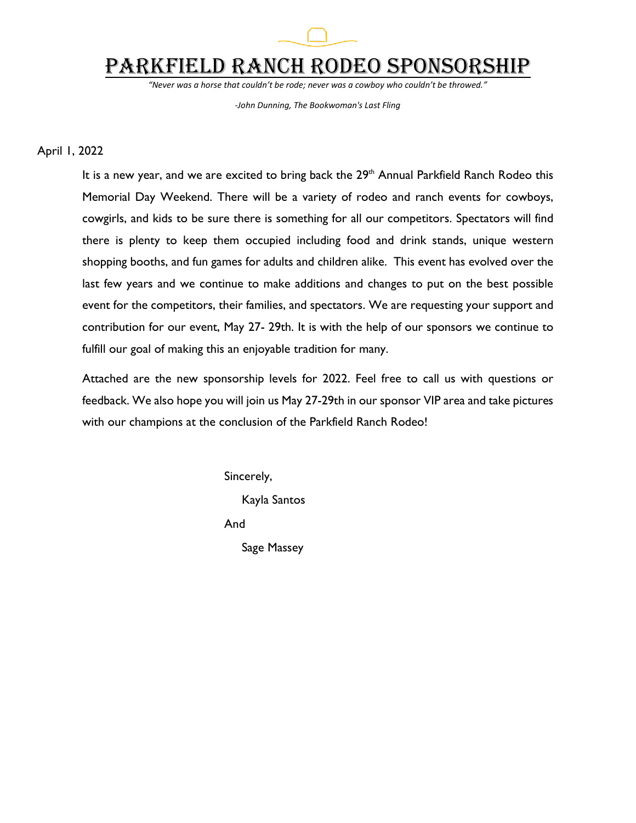

# Parkfield Ranch Rodeo Sponsorship

*"Never was a horse that couldn't be rode; never was a cowboy who couldn't be throwed."*

*-John Dunning, The Bookwoman's Last Fling*

#### April 1, 2022

It is a new year, and we are excited to bring back the 29<sup>th</sup> Annual Parkfield Ranch Rodeo this Memorial Day Weekend. There will be a variety of rodeo and ranch events for cowboys, cowgirls, and kids to be sure there is something for all our competitors. Spectators will find there is plenty to keep them occupied including food and drink stands, unique western shopping booths, and fun games for adults and children alike. This event has evolved over the last few years and we continue to make additions and changes to put on the best possible event for the competitors, their families, and spectators. We are requesting your support and contribution for our event, May 27- 29th. It is with the help of our sponsors we continue to fulfill our goal of making this an enjoyable tradition for many.

Attached are the new sponsorship levels for 2022. Feel free to call us with questions or feedback. We also hope you will join us May 27-29th in our sponsor VIP area and take pictures with our champions at the conclusion of the Parkfield Ranch Rodeo!

> Sincerely, Kayla Santos And Sage Massey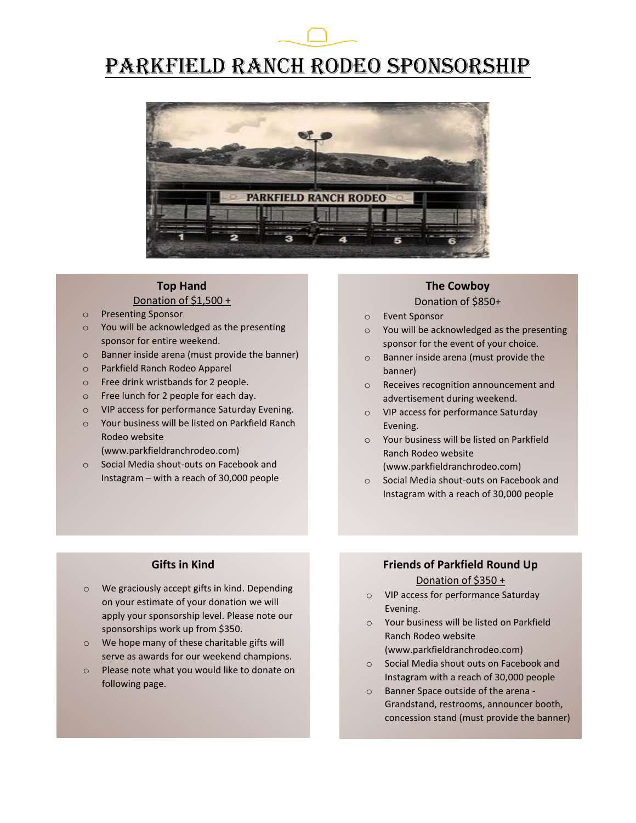# Parkfield Ranch Rodeo Sponsorship



#### **Top Hand** Donation of \$1,500 +

- o Presenting Sponsor
- o You will be acknowledged as the presenting sponsor for entire weekend.
- o Banner inside arena (must provide the banner)
- o Parkfield Ranch Rodeo Apparel
- o Free drink wristbands for 2 people.
- o Free lunch for 2 people for each day.
- o VIP access for performance Saturday Evening.
- o Your business will be listed on Parkfield Ranch Rodeo website

(www.parkfieldranchrodeo.com)

o Social Media shout-outs on Facebook and Instagram – with a reach of 30,000 people

## **The Cowboy**

## Donation of \$850+

- o Event Sponsor
- o You will be acknowledged as the presenting sponsor for the event of your choice.
- o Banner inside arena (must provide the banner)
- o Receives recognition announcement and advertisement during weekend.
- o VIP access for performance Saturday Evening.
- o Your business will be listed on Parkfield Ranch Rodeo website (www.parkfieldranchrodeo.com)
- o Social Media shout-outs on Facebook and Instagram with a reach of 30,000 people

#### **Gifts in Kind**

- o We graciously accept gifts in kind. Depending on your estimate of your donation we will apply your sponsorship level. Please note our sponsorships work up from \$350.
- o We hope many of these charitable gifts will serve as awards for our weekend champions.
- o Please note what you would like to donate on following page.

## **Friends of Parkfield Round Up** Donation of \$350 +

- o VIP access for performance Saturday Evening.
- o Your business will be listed on Parkfield Ranch Rodeo website (www.parkfieldranchrodeo.com)
- o Social Media shout outs on Facebook and Instagram with a reach of 30,000 people
- o Banner Space outside of the arena Grandstand, restrooms, announcer booth, concession stand (must provide the banner)